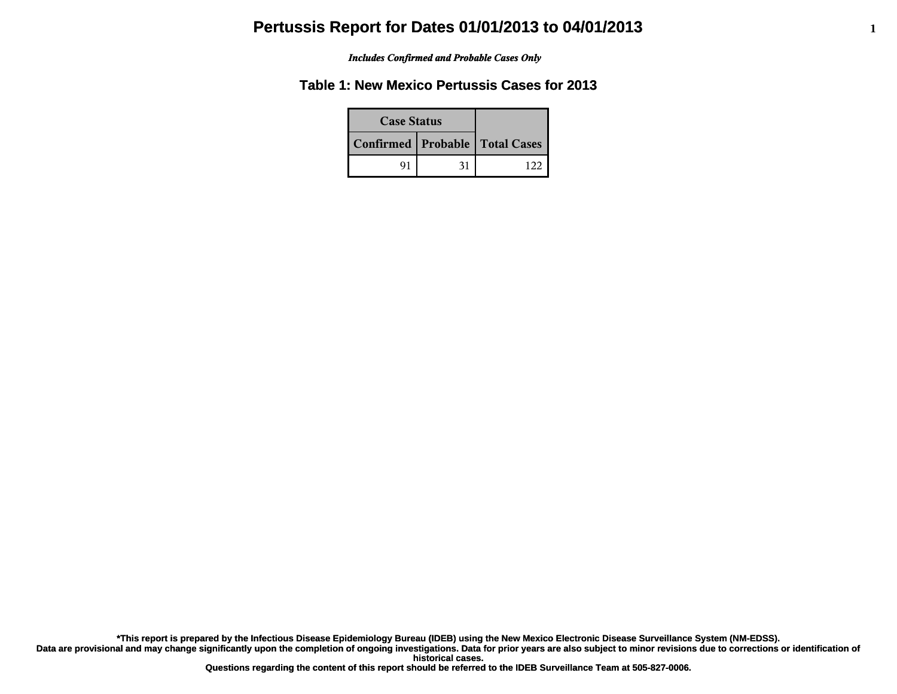#### *Includes Confirmed and Probable Cases Only*

## **Table 1: New Mexico Pertussis Cases for 2013**

| <b>Case Status</b>                 |    |  |
|------------------------------------|----|--|
| Confirmed   Probable   Total Cases |    |  |
| 91                                 | 31 |  |

**\*This report is prepared by the Infectious Disease Epidemiology Bureau (IDEB) using the New Mexico Electronic Disease Surveillance System (NM-EDSS).**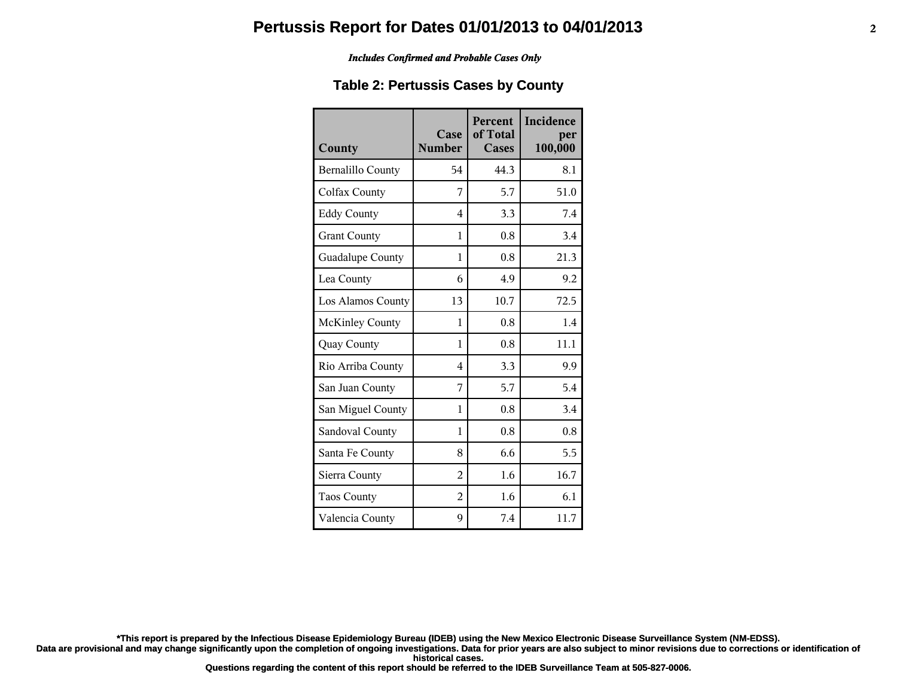#### *Includes Confirmed and Probable Cases Only*

## **Table 2: Pertussis Cases by County**

| County                   | Case<br><b>Number</b> | <b>Percent</b><br>of Total<br>Cases | Incidence<br>per<br>100,000 |
|--------------------------|-----------------------|-------------------------------------|-----------------------------|
| <b>Bernalillo County</b> | 54                    | 44.3                                | 8.1                         |
| Colfax County            | 7                     | 5.7                                 | 51.0                        |
| <b>Eddy County</b>       | 4                     | 3.3                                 | 7.4                         |
| <b>Grant County</b>      | 1                     | 0.8                                 | 3.4                         |
| Guadalupe County         | 1                     | 0.8                                 | 21.3                        |
| Lea County               | 6                     | 4.9                                 | 9.2                         |
| Los Alamos County        | 13                    | 10.7                                | 72.5                        |
| <b>McKinley County</b>   | 1                     | 0.8                                 | 1.4                         |
| <b>Quay County</b>       | 1                     | 0.8                                 | 11.1                        |
| Rio Arriba County        | $\overline{4}$        | 3.3                                 | 9.9                         |
| San Juan County          | 7                     | 5.7                                 | 5.4                         |
| San Miguel County        | 1                     | 0.8                                 | 3.4                         |
| Sandoval County          | 1                     | 0.8                                 | 0.8                         |
| Santa Fe County          | 8                     | 6.6                                 | 5.5                         |
| Sierra County            | $\overline{2}$        | 1.6                                 | 16.7                        |
| <b>Taos County</b>       | $\overline{2}$        | 1.6                                 | 6.1                         |
| Valencia County          | 9                     | 7.4                                 | 11.7                        |

**\*This report is prepared by the Infectious Disease Epidemiology Bureau (IDEB) using the New Mexico Electronic Disease Surveillance System (NM-EDSS).**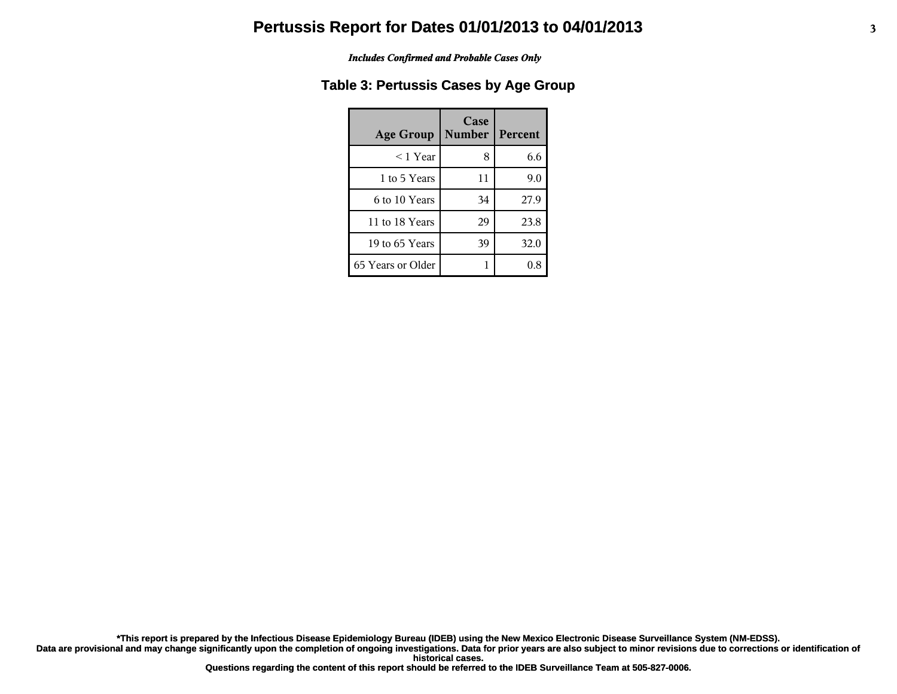#### *Includes Confirmed and Probable Cases Only*

## **Table 3: Pertussis Cases by Age Group**

| <b>Age Group</b>  | Case<br><b>Number</b> | Percent |
|-------------------|-----------------------|---------|
| ≤ 1 Year          | 8                     | 6.6     |
| 1 to 5 Years      | 11                    | 9.0     |
| 6 to 10 Years     | 34                    | 27.9    |
| 11 to 18 Years    | 29                    | 23.8    |
| 19 to 65 Years    | 39                    | 32.0    |
| 65 Years or Older |                       |         |

**\*This report is prepared by the Infectious Disease Epidemiology Bureau (IDEB) using the New Mexico Electronic Disease Surveillance System (NM-EDSS).**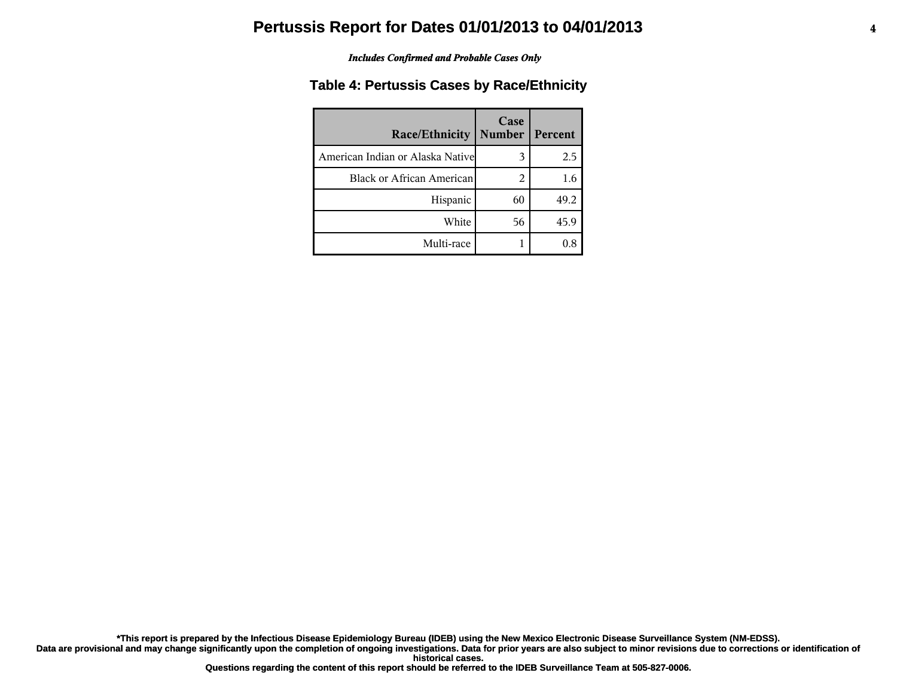#### *Includes Confirmed and Probable Cases Only*

## **Table 4: Pertussis Cases by Race/Ethnicity**

| <b>Race/Ethnicity</b>             | Case<br><b>Number</b> | Percent |
|-----------------------------------|-----------------------|---------|
| American Indian or Alaska Nativel | 3                     | 2.5     |
| <b>Black or African American</b>  | 2                     | 1.6     |
| Hispanic                          | 60                    | 49.2    |
| White                             | 56                    | 45.9    |
| Multi-race                        |                       | 0.8     |

**\*This report is prepared by the Infectious Disease Epidemiology Bureau (IDEB) using the New Mexico Electronic Disease Surveillance System (NM-EDSS).**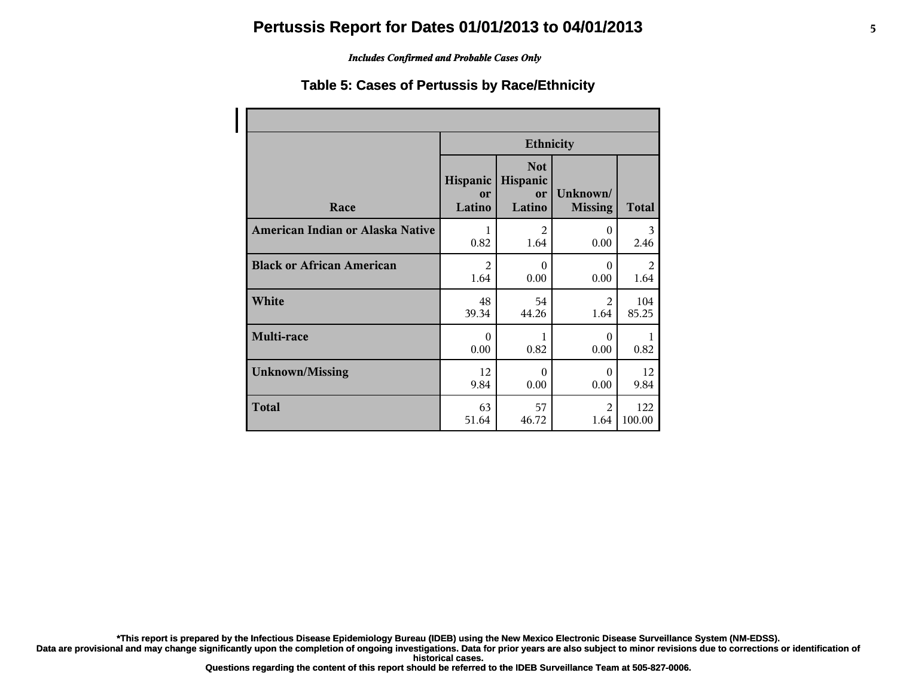#### *Includes Confirmed and Probable Cases Only*

## **Table 5: Cases of Pertussis by Race/Ethnicity**

|                                  | <b>Ethnicity</b>         |                                        |                            |              |
|----------------------------------|--------------------------|----------------------------------------|----------------------------|--------------|
| Race                             | Hispanic<br>or<br>Latino | <b>Not</b><br>Hispanic<br>or<br>Latino | Unknown/<br><b>Missing</b> | <b>Total</b> |
| American Indian or Alaska Native | 1                        | $\overline{2}$                         | $\theta$                   | 3            |
|                                  | 0.82                     | 1.64                                   | 0.00                       | 2.46         |
| <b>Black or African American</b> | $\overline{2}$           | $\Omega$                               | $\Omega$                   | 2            |
|                                  | 1.64                     | 0.00                                   | 0.00                       | 1.64         |
| White                            | 48                       | 54                                     | $\mathfrak{D}$             | 104          |
|                                  | 39.34                    | 44.26                                  | 1.64                       | 85.25        |
| Multi-race                       | $\Omega$<br>0.00         | 1<br>0.82                              | $\Omega$<br>0.00           | 0.82         |
| <b>Unknown/Missing</b>           | 12                       | $\theta$                               | $\Omega$                   | 12           |
|                                  | 9.84                     | 0.00                                   | 0.00                       | 9.84         |
| <b>Total</b>                     | 63                       | 57                                     | $\mathfrak{D}$             | 122          |
|                                  | 51.64                    | 46.72                                  | 1.64                       | 100.00       |

**\*This report is prepared by the Infectious Disease Epidemiology Bureau (IDEB) using the New Mexico Electronic Disease Surveillance System (NM-EDSS).**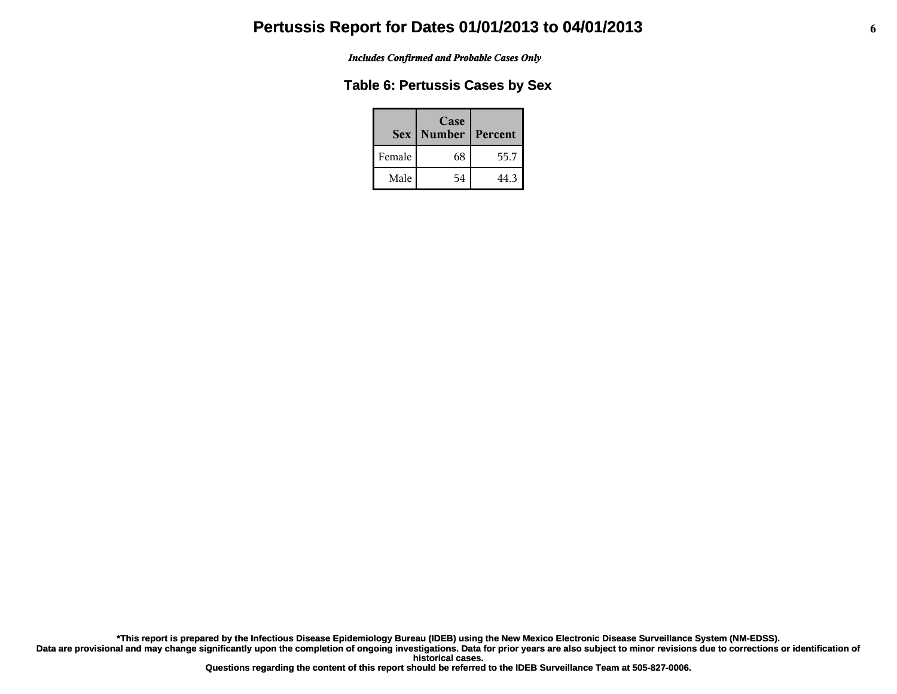*Includes Confirmed and Probable Cases Only*

## **Table 6: Pertussis Cases by Sex**

|        | Case<br><b>Sex   Number</b> | Percent |
|--------|-----------------------------|---------|
| Female | 68                          | 55.7    |
| Male   | 54                          | 44.3    |

**\*This report is prepared by the Infectious Disease Epidemiology Bureau (IDEB) using the New Mexico Electronic Disease Surveillance System (NM-EDSS).**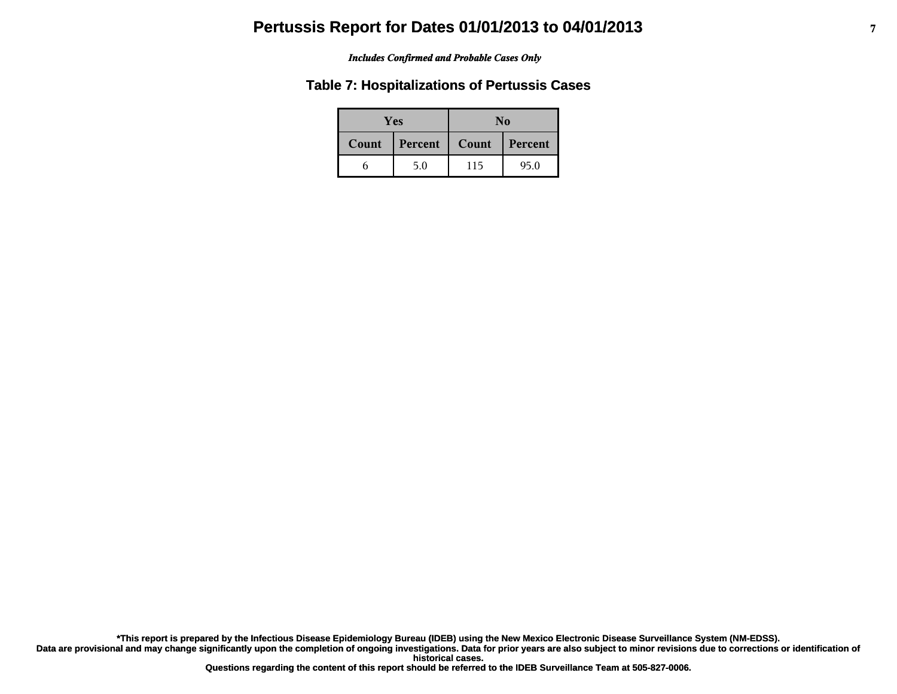#### *Includes Confirmed and Probable Cases Only*

### **Table 7: Hospitalizations of Pertussis Cases**

| <b>Yes</b> |         | No    |         |  |
|------------|---------|-------|---------|--|
| Count      | Percent | Count | Percent |  |
|            | 5.0     | 115   | 95.0    |  |

**\*This report is prepared by the Infectious Disease Epidemiology Bureau (IDEB) using the New Mexico Electronic Disease Surveillance System (NM-EDSS).**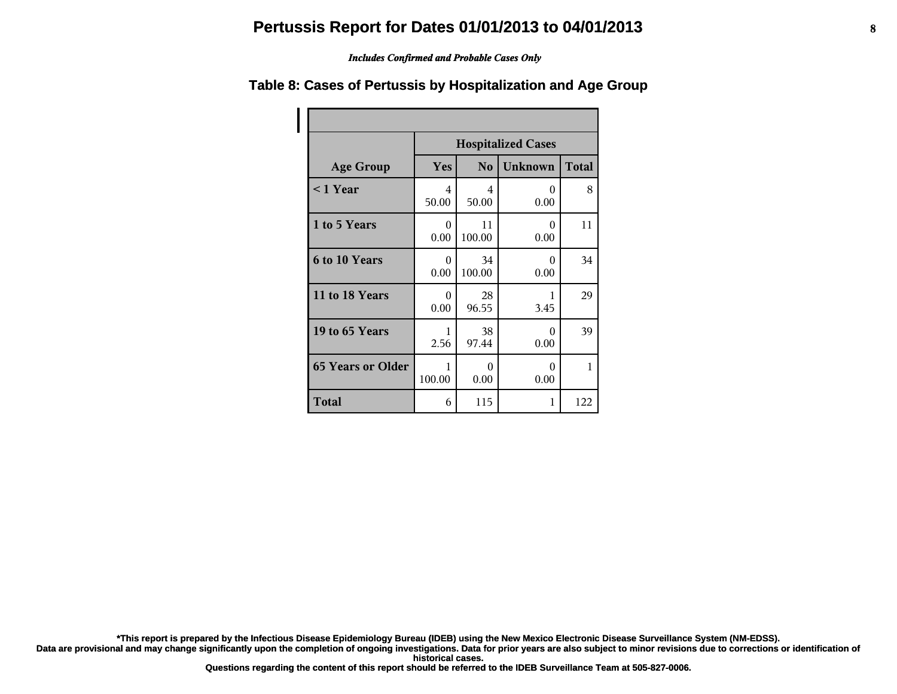#### *Includes Confirmed and Probable Cases Only*

# **Table 8: Cases of Pertussis by Hospitalization and Age Group**

|                          | <b>Hospitalized Cases</b> |                |                  |              |
|--------------------------|---------------------------|----------------|------------------|--------------|
| <b>Age Group</b>         | <b>Yes</b>                | N <sub>0</sub> | <b>Unknown</b>   | <b>Total</b> |
| $\leq$ 1 Year            | 4<br>50.00                | 4<br>50.00     | 0<br>0.00        | 8            |
| 1 to 5 Years             | 0<br>0.00                 | 11<br>100.00   | 0<br>0.00        | 11           |
| 6 to 10 Years            | 0<br>0.00                 | 34<br>100.00   | $\Omega$<br>0.00 | 34           |
| 11 to 18 Years           | $\theta$<br>0.00          | 28<br>96.55    | 3.45             | 29           |
| 19 to 65 Years           | 1<br>2.56                 | 38<br>97.44    | 0<br>0.00        | 39           |
| <b>65 Years or Older</b> | 1<br>100.00               | 0<br>0.00      | 0<br>0.00        | $\mathbf{1}$ |
| <b>Total</b>             | 6                         | 115            | 1                | 122          |

**\*This report is prepared by the Infectious Disease Epidemiology Bureau (IDEB) using the New Mexico Electronic Disease Surveillance System (NM-EDSS).**